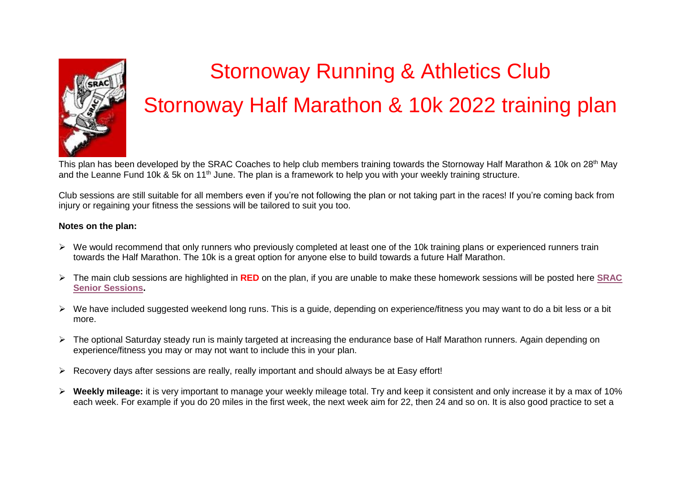

# Stornoway Running & Athletics Club Stornoway Half Marathon & 10k 2022 training plan

This plan has been developed by the SRAC Coaches to help club members training towards the Stornoway Half Marathon & 10k on 28<sup>th</sup> May and the Leanne Fund 10k & 5k on 11<sup>th</sup> June. The plan is a framework to help you with your weekly training structure.

Club sessions are still suitable for all members even if you're not following the plan or not taking part in the races! If you're coming back from injury or regaining your fitness the sessions will be tailored to suit you too.

# **Notes on the plan:**

- $\triangleright$  We would recommend that only runners who previously completed at least one of the 10k training plans or experienced runners train towards the Half Marathon. The 10k is a great option for anyone else to build towards a future Half Marathon.
- The main club sessions are highlighted in **RED** on the plan, if you are unable to make these homework sessions will be posted here **[SRAC](https://docs.google.com/document/d/1PWMhfqMzbFd51RiXmntpMvQKPqslHEYLTrV7C9D_j5A/edit?usp=sharing)  [Senior Sessions.](https://docs.google.com/document/d/1PWMhfqMzbFd51RiXmntpMvQKPqslHEYLTrV7C9D_j5A/edit?usp=sharing)**
- $\triangleright$  We have included suggested weekend long runs. This is a guide, depending on experience/fitness you may want to do a bit less or a bit more.
- > The optional Saturday steady run is mainly targeted at increasing the endurance base of Half Marathon runners. Again depending on experience/fitness you may or may not want to include this in your plan.
- $\triangleright$  Recovery days after sessions are really, really important and should always be at Easy effort!
- **Weekly mileage:** it is very important to manage your weekly mileage total. Try and keep it consistent and only increase it by a max of 10% each week. For example if you do 20 miles in the first week, the next week aim for 22, then 24 and so on. It is also good practice to set a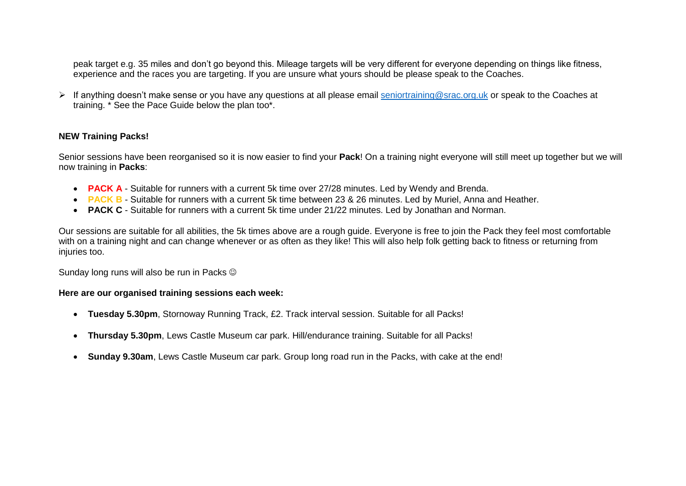peak target e.g. 35 miles and don't go beyond this. Mileage targets will be very different for everyone depending on things like fitness, experience and the races you are targeting. If you are unsure what yours should be please speak to the Coaches.

If anything doesn't make sense or you have any questions at all please email [seniortraining@srac.org.uk](mailto:seniortraining@srac.org.uk) or speak to the Coaches at training. \* See the Pace Guide below the plan too\*.

## **NEW Training Packs!**

Senior sessions have been reorganised so it is now easier to find your **Pack**! On a training night everyone will still meet up together but we will now training in **Packs**:

- **PACK A** Suitable for runners with a current 5k time over 27/28 minutes. Led by Wendy and Brenda.
- **PACK B** Suitable for runners with a current 5k time between 23 & 26 minutes. Led by Muriel, Anna and Heather.
- **PACK C** Suitable for runners with a current 5k time under 21/22 minutes. Led by Jonathan and Norman.

Our sessions are suitable for all abilities, the 5k times above are a rough guide. Everyone is free to join the Pack they feel most comfortable with on a training night and can change whenever or as often as they like! This will also help folk getting back to fitness or returning from injuries too.

Sunday long runs will also be run in Packs  $\odot$ 

#### **Here are our organised training sessions each week:**

- **Tuesday 5.30pm**, Stornoway Running Track, £2. Track interval session. Suitable for all Packs!
- **Thursday 5.30pm**, Lews Castle Museum car park. Hill/endurance training. Suitable for all Packs!
- **Sunday 9.30am**, Lews Castle Museum car park. Group long road run in the Packs, with cake at the end!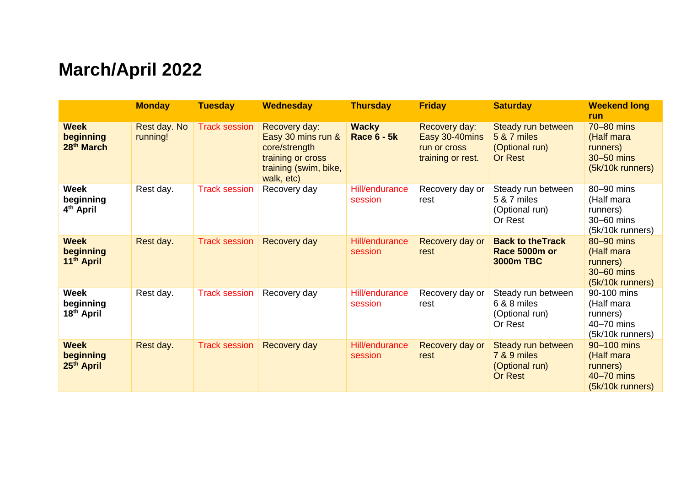# **March/April 2022**

|                                                    | <b>Monday</b>            | <b>Tuesday</b>       | <b>Wednesday</b>                                                                                                 | <b>Thursday</b>                    | <b>Friday</b>                                                        | <b>Saturday</b>                                                                  | <b>Weekend long</b><br>run                                              |
|----------------------------------------------------|--------------------------|----------------------|------------------------------------------------------------------------------------------------------------------|------------------------------------|----------------------------------------------------------------------|----------------------------------------------------------------------------------|-------------------------------------------------------------------------|
| <b>Week</b><br>beginning<br>28 <sup>th</sup> March | Rest day. No<br>running! | <b>Track session</b> | Recovery day:<br>Easy 30 mins run &<br>core/strength<br>training or cross<br>training (swim, bike,<br>walk, etc) | <b>Wacky</b><br><b>Race 6 - 5k</b> | Recovery day:<br>Easy 30-40mins<br>run or cross<br>training or rest. | Steady run between<br><b>5 &amp; 7 miles</b><br>(Optional run)<br><b>Or Rest</b> | 70-80 mins<br>(Half mara<br>runners)<br>30-50 mins<br>(5k/10k runners)  |
| <b>Week</b><br>beginning<br>4 <sup>th</sup> April  | Rest day.                | <b>Track session</b> | Recovery day                                                                                                     | Hill/endurance<br>session          | Recovery day or<br>rest                                              | Steady run between<br>5 & 7 miles<br>(Optional run)<br>Or Rest                   | 80-90 mins<br>(Half mara<br>runners)<br>30-60 mins<br>(5k/10k runners)  |
| <b>Week</b><br>beginning<br>11th April             | Rest day.                | <b>Track session</b> | Recovery day                                                                                                     | Hill/endurance<br>session          | Recovery day or<br>rest                                              | <b>Back to the Track</b><br>Race 5000m or<br><b>3000m TBC</b>                    | 80-90 mins<br>(Half mara<br>runners)<br>30-60 mins<br>(5k/10k runners)  |
| <b>Week</b><br>beginning<br>18 <sup>th</sup> April | Rest day.                | <b>Track session</b> | Recovery day                                                                                                     | Hill/endurance<br>session          | Recovery day or<br>rest                                              | Steady run between<br>6 & 8 miles<br>(Optional run)<br>Or Rest                   | 90-100 mins<br>(Half mara<br>runners)<br>40-70 mins<br>(5k/10k runners) |
| <b>Week</b><br>beginning<br>25 <sup>th</sup> April | Rest day.                | <b>Track session</b> | Recovery day                                                                                                     | Hill/endurance<br>session          | Recovery day or<br>rest                                              | Steady run between<br>7 & 9 miles<br>(Optional run)<br>Or Rest                   | 90-100 mins<br>(Half mara<br>runners)<br>40-70 mins<br>(5k/10k runners) |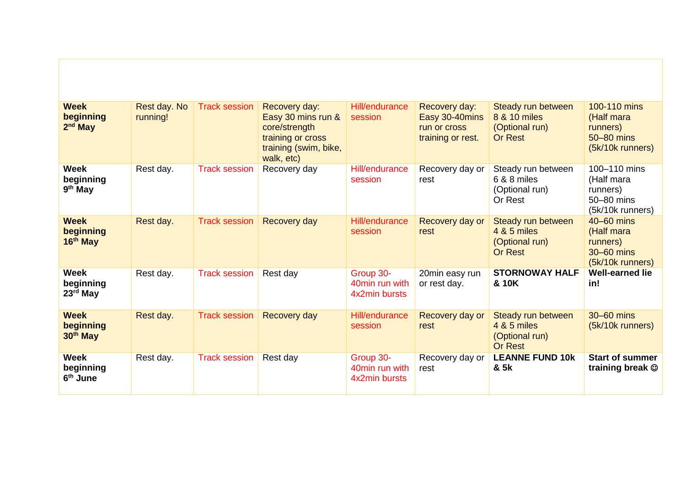| <b>Week</b><br>beginning<br>$2nd$ May            | Rest day. No<br>running! | <b>Track session</b> | Recovery day:<br>Easy 30 mins run &<br>core/strength<br>training or cross<br>training (swim, bike,<br>walk, etc) | Hill/endurance<br>session                    | Recovery day:<br>Easy 30-40mins<br>run or cross<br>training or rest. | Steady run between<br>8 & 10 miles<br>(Optional run)<br><b>Or Rest</b> | 100-110 mins<br>(Half mara<br>runners)<br>50-80 mins<br>(5k/10k runners) |
|--------------------------------------------------|--------------------------|----------------------|------------------------------------------------------------------------------------------------------------------|----------------------------------------------|----------------------------------------------------------------------|------------------------------------------------------------------------|--------------------------------------------------------------------------|
| <b>Week</b><br>beginning<br>$9th$ May            | Rest day.                | <b>Track session</b> | Recovery day                                                                                                     | Hill/endurance<br>session                    | Recovery day or<br>rest                                              | Steady run between<br>6 & 8 miles<br>(Optional run)<br>Or Rest         | 100-110 mins<br>(Half mara<br>runners)<br>50-80 mins<br>(5k/10k runners) |
| <b>Week</b><br>beginning<br>$16th$ May           | Rest day.                | <b>Track session</b> | Recovery day                                                                                                     | <b>Hill/endurance</b><br>session             | Recovery day or<br>rest                                              | Steady run between<br>4 & 5 miles<br>(Optional run)<br><b>Or Rest</b>  | $40-60$ mins<br>(Half mara<br>runners)<br>30-60 mins<br>(5k/10k runners) |
| <b>Week</b><br>beginning<br>23rd May             | Rest day.                | <b>Track session</b> | Rest day                                                                                                         | Group 30-<br>40min run with<br>4x2min bursts | 20min easy run<br>or rest day.                                       | <b>STORNOWAY HALF</b><br>& 10K                                         | <b>Well-earned lie</b><br>in!                                            |
| <b>Week</b><br>beginning<br>30 <sup>th</sup> May | Rest day.                | <b>Track session</b> | Recovery day                                                                                                     | Hill/endurance<br>session                    | Recovery day or<br>rest                                              | Steady run between<br>4 & 5 miles<br>(Optional run)<br><b>Or Rest</b>  | 30-60 mins<br>(5k/10k runners)                                           |
| <b>Week</b><br>beginning<br>6 <sup>th</sup> June | Rest day.                | <b>Track session</b> | Rest day                                                                                                         | Group 30-<br>40min run with<br>4x2min bursts | Recovery day or<br>rest                                              | <b>LEANNE FUND 10k</b><br>& 5k                                         | <b>Start of summer</b><br>training break $\circledcirc$                  |